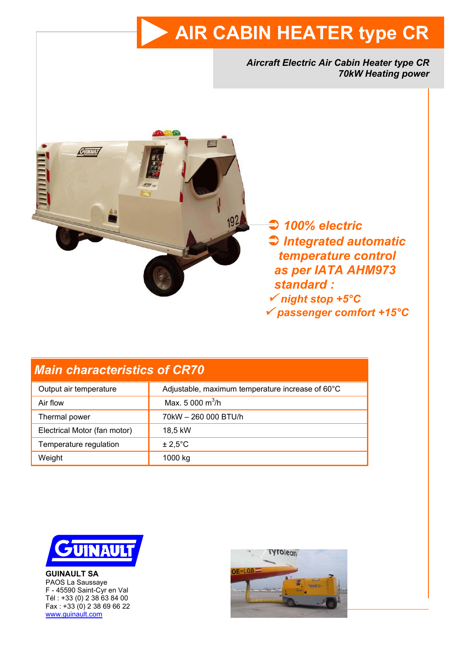# **AIR CABIN HEATER type CR**

*Aircraft Electric Air Cabin Heater type CR 70kW Heating power* 



 Â *100% electric*  Â *Integrated automatic t temperature control as per IATA AHM973 standard :* <sup>9</sup> *night stop +5°C* <sup>9</sup> *passenger comfort +15°C*

# *Main characteristics of CR70*

| Output air temperature       | Adjustable, maximum temperature increase of 60°C |
|------------------------------|--------------------------------------------------|
| Air flow                     | Max, 5 000 $\text{m}^3/\text{h}$                 |
| Thermal power                | 70kW - 260 000 BTU/h                             |
| Electrical Motor (fan motor) | 18.5 kW                                          |
| Temperature regulation       | $\pm 2.5^{\circ}$ C                              |
| Weight                       | 1000 kg                                          |



**GUINAULT SA**  PAOS La Saussaye F - 45590 Saint-Cyr en Val Tél : +33 (0) 2 38 63 84 00 Fax : +33 (0) 2 38 69 66 22 www.guinault.com